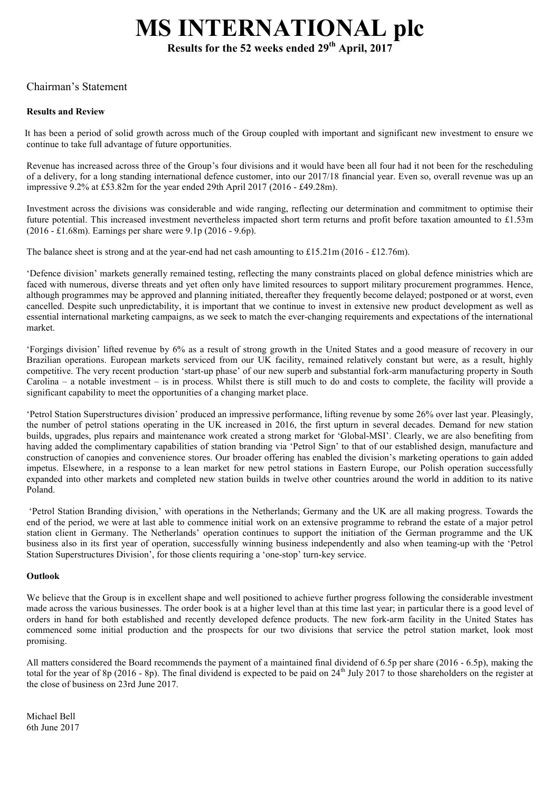# MS INTERNATIONAL plc

Results for the 52 weeks ended  $29<sup>th</sup>$  April,  $2017<sup>th</sup>$ 

## Chairman's Statement

## Results and Review

 It has been a period of solid growth across much of the Group coupled with important and significant new investment to ensure we continue to take full advantage of future opportunities.

Revenue has increased across three of the Group's four divisions and it would have been all four had it not been for the rescheduling of a delivery, for a long standing international defence customer, into our 2017/18 financial year. Even so, overall revenue was up an impressive 9.2% at £53.82m for the year ended 29th April 2017 (2016 - £49.28m).

Investment across the divisions was considerable and wide ranging, reflecting our determination and commitment to optimise their future potential. This increased investment nevertheless impacted short term returns and profit before taxation amounted to £1.53m (2016 - £1.68m). Earnings per share were 9.1p (2016 - 9.6p).

The balance sheet is strong and at the year-end had net cash amounting to £15.21m (2016 - £12.76m).

'Defence division' markets generally remained testing, reflecting the many constraints placed on global defence ministries which are faced with numerous, diverse threats and yet often only have limited resources to support military procurement programmes. Hence, although programmes may be approved and planning initiated, thereafter they frequently become delayed; postponed or at worst, even cancelled. Despite such unpredictability, it is important that we continue to invest in extensive new product development as well as essential international marketing campaigns, as we seek to match the ever-changing requirements and expectations of the international market.

'Forgings division' lifted revenue by 6% as a result of strong growth in the United States and a good measure of recovery in our Brazilian operations. European markets serviced from our UK facility, remained relatively constant but were, as a result, highly competitive. The very recent production 'start-up phase' of our new superb and substantial fork-arm manufacturing property in South Carolina – a notable investment – is in process. Whilst there is still much to do and costs to complete, the facility will provide a significant capability to meet the opportunities of a changing market place.

'Petrol Station Superstructures division' produced an impressive performance, lifting revenue by some 26% over last year. Pleasingly, the number of petrol stations operating in the UK increased in 2016, the first upturn in several decades. Demand for new station builds, upgrades, plus repairs and maintenance work created a strong market for 'Global-MSI'. Clearly, we are also benefiting from having added the complimentary capabilities of station branding via 'Petrol Sign' to that of our established design, manufacture and construction of canopies and convenience stores. Our broader offering has enabled the division's marketing operations to gain added impetus. Elsewhere, in a response to a lean market for new petrol stations in Eastern Europe, our Polish operation successfully expanded into other markets and completed new station builds in twelve other countries around the world in addition to its native Poland.

'Petrol Station Branding division,' with operations in the Netherlands; Germany and the UK are all making progress. Towards the end of the period, we were at last able to commence initial work on an extensive programme to rebrand the estate of a major petrol station client in Germany. The Netherlands' operation continues to support the initiation of the German programme and the UK business also in its first year of operation, successfully winning business independently and also when teaming-up with the 'Petrol Station Superstructures Division', for those clients requiring a 'one-stop' turn-key service.

#### **Outlook**

We believe that the Group is in excellent shape and well positioned to achieve further progress following the considerable investment made across the various businesses. The order book is at a higher level than at this time last year; in particular there is a good level of orders in hand for both established and recently developed defence products. The new fork-arm facility in the United States has commenced some initial production and the prospects for our two divisions that service the petrol station market, look most promising.

All matters considered the Board recommends the payment of a maintained final dividend of 6.5p per share (2016 - 6.5p), making the total for the year of 8p (2016 - 8p). The final dividend is expected to be paid on  $24<sup>th</sup>$  July 2017 to those shareholders on the register at the close of business on 23rd June 2017.

Michael Bell 6th June 2017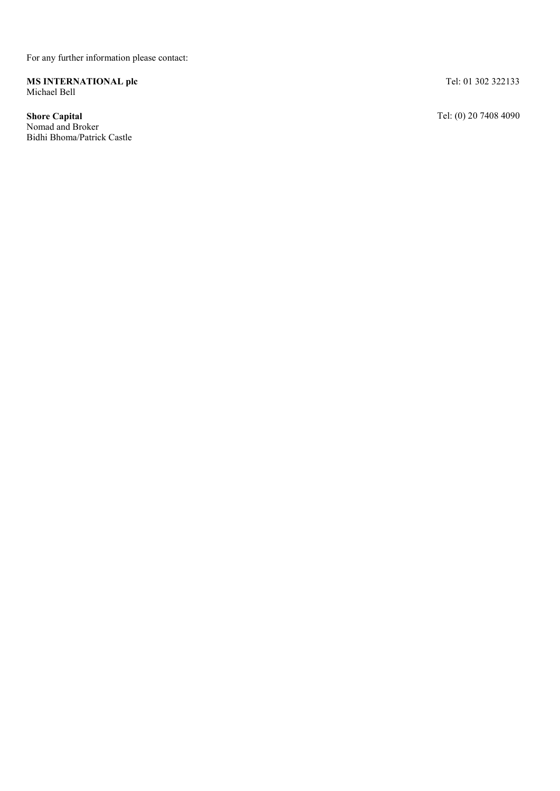For any further information please contact:

MS INTERNATIONAL plc Michael Bell

Shore Capital Nomad and Broker Bidhi Bhoma/Patrick Castle Tel: 01 302 322133

Tel: (0) 20 7408 4090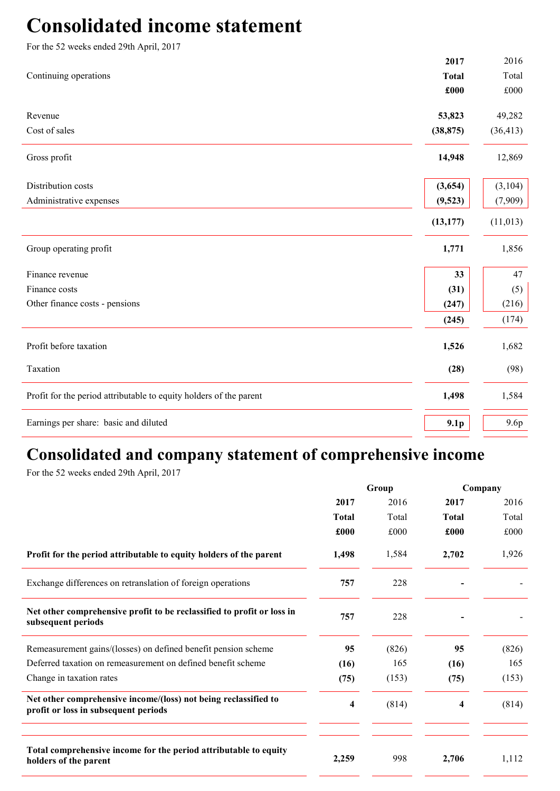# Consolidated income statement

| For the 52 weeks ended 29th April, 2017                            |                  |              |
|--------------------------------------------------------------------|------------------|--------------|
|                                                                    | 2017             | 2016         |
| Continuing operations                                              | <b>Total</b>     | Total        |
|                                                                    | £000             | $\pounds000$ |
| Revenue                                                            | 53,823           | 49,282       |
| Cost of sales                                                      | (38, 875)        | (36, 413)    |
| Gross profit                                                       | 14,948           | 12,869       |
| Distribution costs                                                 | (3,654)          | (3,104)      |
| Administrative expenses                                            | (9,523)          | (7,909)      |
|                                                                    | (13, 177)        | (11, 013)    |
| Group operating profit                                             | 1,771            | 1,856        |
| Finance revenue                                                    | 33               | 47           |
| Finance costs                                                      | (31)             | (5)          |
| Other finance costs - pensions                                     | (247)            | (216)        |
|                                                                    | (245)            | (174)        |
| Profit before taxation                                             | 1,526            | 1,682        |
| Taxation                                                           | (28)             | (98)         |
| Profit for the period attributable to equity holders of the parent | 1,498            | 1,584        |
| Earnings per share: basic and diluted                              | 9.1 <sub>p</sub> | 9.6p         |

# Consolidated and company statement of comprehensive income

For the 52 weeks ended 29th April, 2017

|                                                                                                         | Group        |       | Company      |       |  |
|---------------------------------------------------------------------------------------------------------|--------------|-------|--------------|-------|--|
|                                                                                                         | 2017         | 2016  | 2017         | 2016  |  |
|                                                                                                         | <b>Total</b> | Total | <b>Total</b> | Total |  |
|                                                                                                         | £000         | £000  | £000         | £000  |  |
| Profit for the period attributable to equity holders of the parent                                      | 1,498        | 1,584 | 2,702        | 1,926 |  |
| Exchange differences on retranslation of foreign operations                                             | 757          | 228   |              |       |  |
| Net other comprehensive profit to be reclassified to profit or loss in<br>subsequent periods            | 757          | 228   |              |       |  |
| Remeasurement gains/(losses) on defined benefit pension scheme                                          | 95           | (826) | 95           | (826) |  |
| Deferred taxation on remeasurement on defined benefit scheme                                            | (16)         | 165   | (16)         | 165   |  |
| Change in taxation rates                                                                                | (75)         | (153) | (75)         | (153) |  |
| Net other comprehensive income/(loss) not being reclassified to<br>profit or loss in subsequent periods | 4            | (814) | 4            | (814) |  |
|                                                                                                         |              |       |              |       |  |
| Total comprehensive income for the period attributable to equity<br>holders of the parent               | 2,259        | 998   | 2,706        | 1,112 |  |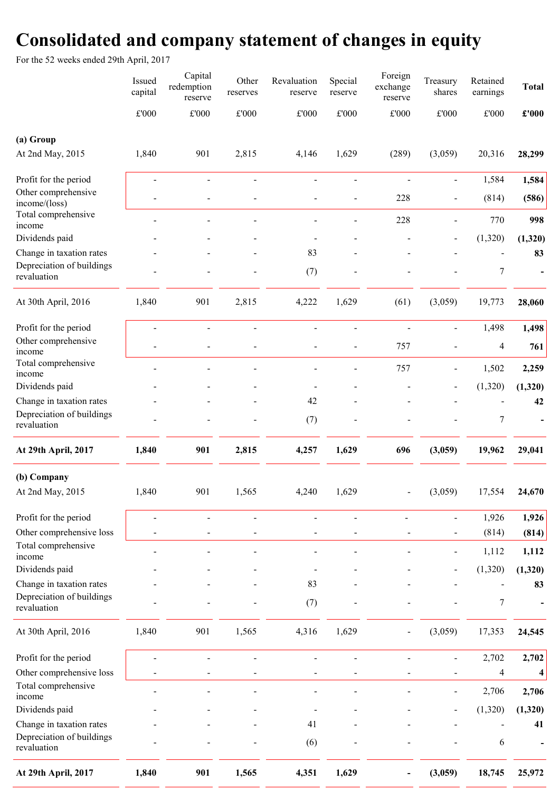# Consolidated and company statement of changes in equity

For the 52 weeks ended 29th April, 2017

|                                          | Issued<br>capital | Capital<br>redemption<br>reserve | Other<br>reserves | Revaluation<br>reserve   | Special<br>reserve | Foreign<br>exchange<br>reserve | Treasury<br>shares           | Retained<br>earnings | <b>Total</b>            |
|------------------------------------------|-------------------|----------------------------------|-------------------|--------------------------|--------------------|--------------------------------|------------------------------|----------------------|-------------------------|
|                                          | $\pounds 000$     | $\pounds 000$                    | $\pounds 000$     | $\pounds 000$            | $\pounds 000$      | £'000                          | $\pounds 000$                | $\pounds 000$        | $\pounds$ '000          |
| (a) Group                                |                   |                                  |                   |                          |                    |                                |                              |                      |                         |
| At 2nd May, 2015                         | 1,840             | 901                              | 2,815             | 4,146                    | 1,629              | (289)                          | (3,059)                      | 20,316               | 28,299                  |
| Profit for the period                    |                   |                                  |                   |                          |                    |                                | $\qquad \qquad \blacksquare$ | 1,584                | 1,584                   |
| Other comprehensive<br>income/(loss)     |                   |                                  |                   |                          |                    | 228                            | $\overline{\phantom{0}}$     | (814)                | (586)                   |
| Total comprehensive<br>income            |                   |                                  |                   |                          |                    | 228                            | $\overline{a}$               | 770                  | 998                     |
| Dividends paid                           |                   |                                  |                   |                          |                    |                                |                              | (1,320)              | (1,320)                 |
| Change in taxation rates                 |                   |                                  |                   | 83                       |                    |                                |                              |                      | 83                      |
| Depreciation of buildings<br>revaluation |                   |                                  |                   | (7)                      |                    |                                |                              | 7                    |                         |
| At 30th April, 2016                      | 1,840             | 901                              | 2,815             | 4,222                    | 1,629              | (61)                           | (3,059)                      | 19,773               | 28,060                  |
| Profit for the period                    |                   | $\blacksquare$                   | L.                | $\blacksquare$           | $\overline{a}$     | $\overline{a}$                 | $\overline{a}$               | 1,498                | 1,498                   |
| Other comprehensive<br>income            |                   |                                  |                   |                          |                    | 757                            |                              | 4                    | 761                     |
| Total comprehensive<br>income            |                   |                                  |                   |                          |                    | 757                            | $\blacksquare$               | 1,502                | 2,259                   |
| Dividends paid                           |                   |                                  |                   |                          |                    |                                |                              | (1,320)              | (1,320)                 |
| Change in taxation rates                 |                   |                                  |                   | 42                       |                    |                                |                              |                      | 42                      |
| Depreciation of buildings<br>revaluation |                   |                                  |                   | (7)                      |                    |                                |                              | $\boldsymbol{7}$     |                         |
| At 29th April, 2017                      | 1,840             | 901                              | 2,815             | 4,257                    | 1,629              | 696                            | (3,059)                      | 19,962               | 29,041                  |
| (b) Company                              |                   |                                  |                   |                          |                    |                                |                              |                      |                         |
| At 2nd May, 2015                         | 1,840             | 901                              | 1,565             | 4,240                    | 1,629              |                                | (3,059)                      | 17,554               | 24,670                  |
| Profit for the period                    |                   |                                  |                   | $\overline{a}$           |                    |                                | $\qquad \qquad \blacksquare$ | 1,926                | 1,926                   |
| Other comprehensive loss                 |                   |                                  |                   | $\overline{\phantom{a}}$ | $\overline{a}$     |                                | $\blacksquare$               | (814)                | (814)                   |
| Total comprehensive<br>income            |                   |                                  |                   |                          |                    |                                | $\overline{\phantom{a}}$     | 1,112                | 1,112                   |
| Dividends paid                           |                   |                                  |                   |                          |                    |                                |                              | (1,320)              | (1,320)                 |
| Change in taxation rates                 |                   |                                  |                   | 83                       |                    |                                |                              |                      | 83                      |
| Depreciation of buildings<br>revaluation |                   |                                  |                   | (7)                      |                    |                                |                              | 7                    |                         |
| At 30th April, 2016                      | 1,840             | 901                              | 1,565             | 4,316                    | 1,629              | $\overline{a}$                 | (3,059)                      | 17,353               | 24,545                  |
| Profit for the period                    |                   | $\overline{a}$                   | $\blacksquare$    | $\blacksquare$           |                    | $\overline{a}$                 | $\frac{1}{2}$                | 2,702                | 2,702                   |
| Other comprehensive loss                 |                   |                                  |                   |                          |                    |                                |                              | 4                    | $\overline{\mathbf{4}}$ |
| Total comprehensive<br>income            |                   |                                  |                   |                          |                    |                                | $\blacksquare$               | 2,706                | 2,706                   |
| Dividends paid                           |                   |                                  |                   |                          |                    |                                | $\overline{\phantom{a}}$     | (1,320)              | (1,320)                 |
| Change in taxation rates                 |                   |                                  |                   | 41                       |                    |                                |                              |                      | 41                      |
| Depreciation of buildings<br>revaluation |                   |                                  |                   | (6)                      |                    |                                |                              | 6                    |                         |
| At 29th April, 2017                      | 1,840             | 901                              | 1,565             | 4,351                    | 1,629              |                                | (3,059)                      | 18,745               | 25,972                  |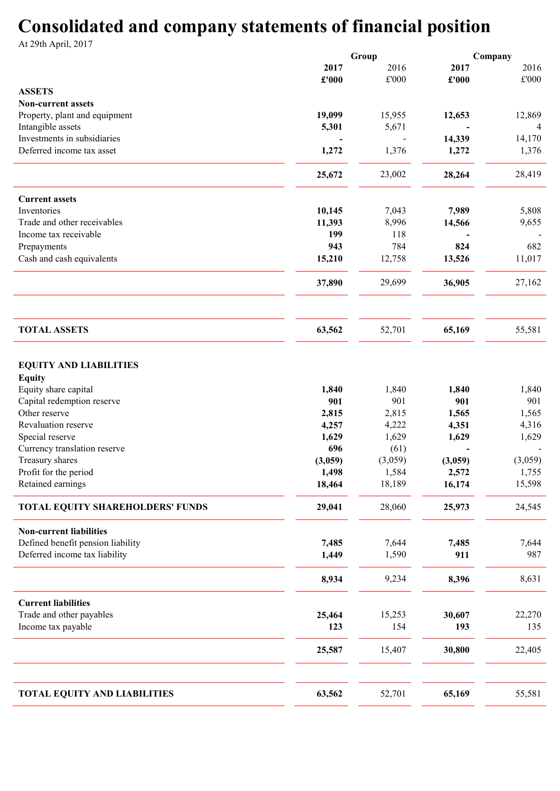# Consolidated and company statements of financial position

At 29th April, 2017

|                                                                     |                | Group   |              | Company      |
|---------------------------------------------------------------------|----------------|---------|--------------|--------------|
|                                                                     | 2017           | 2016    | 2017         | 2016         |
|                                                                     | £'000          | £'000   | £'000        | £'000        |
| <b>ASSETS</b>                                                       |                |         |              |              |
| <b>Non-current assets</b><br>Property, plant and equipment          | 19,099         | 15,955  | 12,653       | 12,869       |
| Intangible assets                                                   | 5,301          | 5,671   |              |              |
| Investments in subsidiaries                                         |                |         | 14,339       | 14,170       |
| Deferred income tax asset                                           | 1,272          | 1,376   | 1,272        | 1,376        |
|                                                                     |                |         |              |              |
|                                                                     | 25,672         | 23,002  | 28,264       | 28,419       |
| <b>Current assets</b>                                               |                |         |              |              |
| Inventories                                                         | 10,145         | 7,043   | 7,989        | 5,808        |
| Trade and other receivables                                         | 11,393         | 8,996   | 14,566       | 9,655        |
| Income tax receivable                                               | 199            | 118     |              |              |
| Prepayments                                                         | 943            | 784     | 824          | 682          |
| Cash and cash equivalents                                           | 15,210         | 12,758  | 13,526       | 11,017       |
|                                                                     | 37,890         | 29,699  | 36,905       | 27,162       |
|                                                                     |                |         |              |              |
| <b>TOTAL ASSETS</b>                                                 | 63,562         | 52,701  | 65,169       | 55,581       |
| <b>EQUITY AND LIABILITIES</b><br><b>Equity</b>                      |                |         |              |              |
| Equity share capital                                                | 1,840          | 1,840   | 1,840        | 1,840        |
| Capital redemption reserve                                          | 901            | 901     | 901          | 901          |
| Other reserve                                                       | 2,815          | 2,815   | 1,565        | 1,565        |
| Revaluation reserve                                                 | 4,257          | 4,222   | 4,351        | 4,316        |
| Special reserve                                                     | 1,629          | 1,629   | 1,629        | 1,629        |
| Currency translation reserve                                        | 696            | (61)    |              |              |
| Treasury shares                                                     | (3,059)        | (3,059) | (3,059)      | (3,059)      |
| Profit for the period                                               | 1,498          | 1,584   | 2,572        | 1,755        |
| Retained earnings                                                   | 18,464         | 18,189  | 16,174       | 15,598       |
| TOTAL EQUITY SHAREHOLDERS' FUNDS                                    | 29,041         | 28,060  | 25,973       | 24,545       |
| <b>Non-current liabilities</b><br>Defined benefit pension liability |                | 7,644   |              |              |
| Deferred income tax liability                                       | 7,485<br>1,449 | 1,590   | 7,485<br>911 | 7,644<br>987 |
|                                                                     |                |         |              |              |
|                                                                     | 8,934          | 9,234   | 8,396        | 8,631        |
| <b>Current liabilities</b>                                          |                |         |              |              |
| Trade and other payables                                            | 25,464         | 15,253  | 30,607       | 22,270       |
| Income tax payable                                                  | 123            | 154     | 193          | 135          |
|                                                                     | 25,587         | 15,407  | 30,800       | 22,405       |
| <b>TOTAL EQUITY AND LIABILITIES</b>                                 | 63,562         | 52,701  | 65,169       | 55,581       |
|                                                                     |                |         |              |              |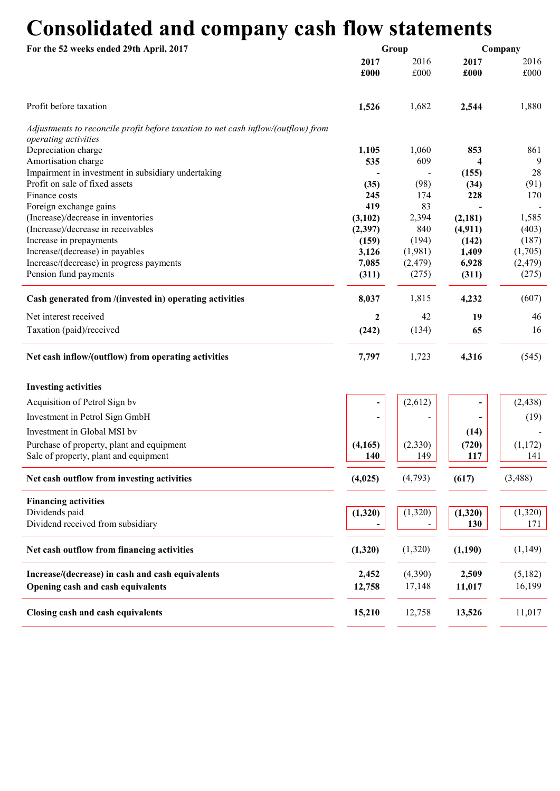# Consolidated and company cash flow statements

| For the 52 weeks ended 29th April, 2017                                           |                          | Group        | Company      |              |  |
|-----------------------------------------------------------------------------------|--------------------------|--------------|--------------|--------------|--|
|                                                                                   | 2017<br>£000             | 2016<br>£000 | 2017<br>£000 | 2016<br>£000 |  |
| Profit before taxation                                                            | 1,526                    | 1,682        | 2,544        | 1,880        |  |
| Adjustments to reconcile profit before taxation to net cash inflow/(outflow) from |                          |              |              |              |  |
| operating activities                                                              |                          |              |              |              |  |
| Depreciation charge                                                               | 1,105                    | 1,060        | 853          | 861          |  |
| Amortisation charge<br>Impairment in investment in subsidiary undertaking         | 535                      | 609          | 4<br>(155)   | 9<br>28      |  |
| Profit on sale of fixed assets                                                    | (35)                     | (98)         | (34)         | (91)         |  |
| Finance costs                                                                     | 245                      | 174          | 228          | 170          |  |
| Foreign exchange gains                                                            | 419                      | 83           |              |              |  |
| (Increase)/decrease in inventories                                                | (3,102)                  | 2,394        | (2,181)      | 1,585        |  |
| (Increase)/decrease in receivables                                                | (2,397)                  | 840          | (4, 911)     | (403)        |  |
| Increase in prepayments                                                           | (159)                    | (194)        | (142)        | (187)        |  |
| Increase/(decrease) in payables                                                   | 3,126                    | (1,981)      | 1,409        | (1,705)      |  |
| Increase/(decrease) in progress payments                                          | 7,085                    | (2, 479)     | 6,928        | (2, 479)     |  |
| Pension fund payments                                                             | (311)                    | (275)        | (311)        | (275)        |  |
| Cash generated from /(invested in) operating activities                           | 8,037                    | 1,815        | 4,232        | (607)        |  |
| Net interest received                                                             | $\mathbf{2}$             | 42           | 19           | 46           |  |
| Taxation (paid)/received                                                          | (242)                    | (134)        | 65           | 16           |  |
| Net cash inflow/(outflow) from operating activities                               | 7,797                    | 1,723        | 4,316        | (545)        |  |
| <b>Investing activities</b>                                                       |                          |              |              |              |  |
| Acquisition of Petrol Sign by                                                     | $\overline{\phantom{a}}$ | (2,612)      |              | (2, 438)     |  |
| Investment in Petrol Sign GmbH                                                    |                          |              |              | (19)         |  |
| Investment in Global MSI by                                                       |                          |              | (14)         |              |  |
| Purchase of property, plant and equipment                                         | (4, 165)                 | (2,330)      | (720)        | (1,172)      |  |
| Sale of property, plant and equipment                                             | 140                      | 149          | 117          | 141          |  |
| Net cash outflow from investing activities                                        | (4,025)                  | (4,793)      | (617)        | (3, 488)     |  |
| <b>Financing activities</b>                                                       |                          |              |              |              |  |
| Dividends paid                                                                    | (1,320)                  | (1,320)      | (1,320)      | (1,320)      |  |
| Dividend received from subsidiary                                                 |                          |              | 130          | 171          |  |
| Net cash outflow from financing activities                                        | (1,320)                  | (1,320)      | (1,190)      | (1,149)      |  |
| Increase/(decrease) in cash and cash equivalents                                  | 2,452                    | (4,390)      | 2,509        | (5,182)      |  |
| Opening cash and cash equivalents                                                 | 12,758                   | 17,148       | 11,017       | 16,199       |  |
| Closing cash and cash equivalents                                                 | 15,210                   | 12,758       | 13,526       | 11,017       |  |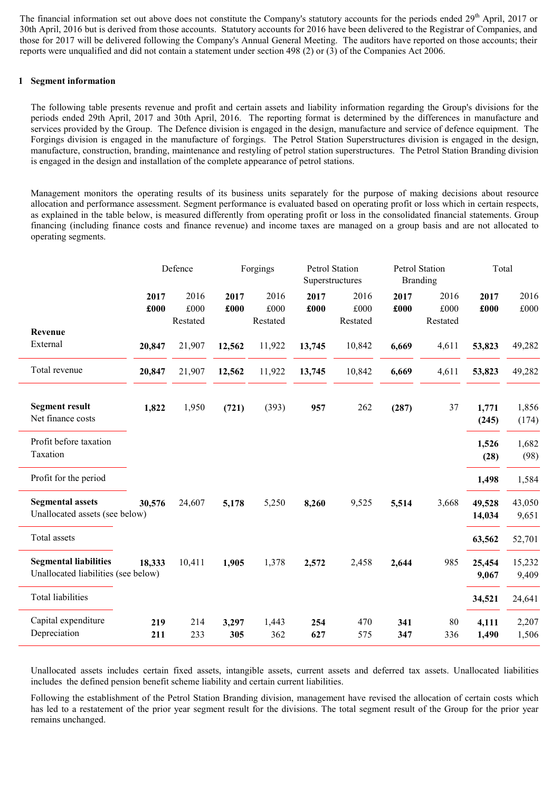The financial information set out above does not constitute the Company's statutory accounts for the periods ended 29<sup>th</sup> April, 2017 or 30th April, 2016 but is derived from those accounts. Statutory accounts for 2016 have been delivered to the Registrar of Companies, and those for 2017 will be delivered following the Company's Annual General Meeting. The auditors have reported on those accounts; their reports were unqualified and did not contain a statement under section 498 (2) or (3) of the Companies Act 2006.

#### 1 Segment information

The following table presents revenue and profit and certain assets and liability information regarding the Group's divisions for the periods ended 29th April, 2017 and 30th April, 2016. The reporting format is determined by the differences in manufacture and services provided by the Group. The Defence division is engaged in the design, manufacture and service of defence equipment. The Forgings division is engaged in the manufacture of forgings. The Petrol Station Superstructures division is engaged in the design, manufacture, construction, branding, maintenance and restyling of petrol station superstructures. The Petrol Station Branding division is engaged in the design and installation of the complete appearance of petrol stations.

Management monitors the operating results of its business units separately for the purpose of making decisions about resource allocation and performance assessment. Segment performance is evaluated based on operating profit or loss which in certain respects, as explained in the table below, is measured differently from operating profit or loss in the consolidated financial statements. Group financing (including finance costs and finance revenue) and income taxes are managed on a group basis and are not allocated to operating segments.

|                                                                     | Defence      |                          | Forgings     |                          |              | Petrol Station<br>Superstructures |              | Petrol Station<br><b>Branding</b> | Total            |                 |
|---------------------------------------------------------------------|--------------|--------------------------|--------------|--------------------------|--------------|-----------------------------------|--------------|-----------------------------------|------------------|-----------------|
|                                                                     | 2017<br>£000 | 2016<br>£000<br>Restated | 2017<br>£000 | 2016<br>£000<br>Restated | 2017<br>£000 | 2016<br>£000<br>Restated          | 2017<br>£000 | 2016<br>£000<br>Restated          | 2017<br>£000     | 2016<br>£000    |
| Revenue<br>External                                                 | 20,847       | 21,907                   | 12,562       | 11,922                   | 13,745       | 10,842                            | 6,669        | 4,611                             | 53,823           | 49,282          |
| Total revenue                                                       | 20,847       | 21,907                   | 12,562       | 11,922                   | 13,745       | 10,842                            | 6,669        | 4,611                             | 53,823           | 49,282          |
| <b>Segment result</b><br>Net finance costs                          | 1,822        | 1,950                    | (721)        | (393)                    | 957          | 262                               | (287)        | 37                                | 1,771<br>(245)   | 1,856<br>(174)  |
| Profit before taxation<br>Taxation                                  |              |                          |              |                          |              |                                   |              |                                   | 1,526<br>(28)    | 1,682<br>(98)   |
| Profit for the period                                               |              |                          |              |                          |              |                                   |              |                                   | 1,498            | 1,584           |
| <b>Segmental assets</b><br>Unallocated assets (see below)           | 30,576       | 24,607                   | 5,178        | 5,250                    | 8,260        | 9,525                             | 5,514        | 3,668                             | 49,528<br>14,034 | 43,050<br>9,651 |
| Total assets                                                        |              |                          |              |                          |              |                                   |              |                                   | 63,562           | 52,701          |
| <b>Segmental liabilities</b><br>Unallocated liabilities (see below) | 18,333       | 10,411                   | 1,905        | 1,378                    | 2,572        | 2,458                             | 2,644        | 985                               | 25,454<br>9,067  | 15,232<br>9,409 |
| <b>Total liabilities</b>                                            |              |                          |              |                          |              |                                   |              |                                   | 34,521           | 24,641          |
| Capital expenditure<br>Depreciation                                 | 219<br>211   | 214<br>233               | 3,297<br>305 | 1,443<br>362             | 254<br>627   | 470<br>575                        | 341<br>347   | 80<br>336                         | 4,111<br>1,490   | 2,207<br>1,506  |

Unallocated assets includes certain fixed assets, intangible assets, current assets and deferred tax assets. Unallocated liabilities includes the defined pension benefit scheme liability and certain current liabilities.

Following the establishment of the Petrol Station Branding division, management have revised the allocation of certain costs which has led to a restatement of the prior year segment result for the divisions. The total segment result of the Group for the prior year remains unchanged.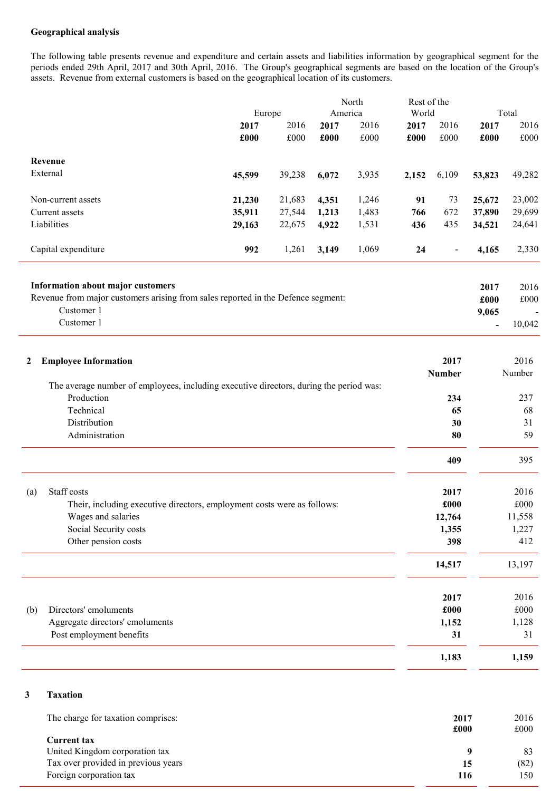## Geographical analysis

The following table presents revenue and expenditure and certain assets and liabilities information by geographical segment for the periods ended 29th April, 2017 and 30th April, 2016. The Group's geographical segments are based on the location of the Group's assets. Revenue from external customers is based on the geographical location of its customers.

| America<br>World<br>Total<br>Europe<br>2016<br>2016<br>2016<br>2016<br>2017<br>2017<br>2017<br>2017<br>£000<br>$\pounds000$<br>$\pounds000$<br>£000<br>$\pounds000$<br>£000<br>£000<br>£000<br>Revenue<br>External<br>45,599<br>3,935<br>6,109<br>53,823<br>49,282<br>39,238<br>6,072<br>2,152<br>21,683<br>23,002<br>Non-current assets<br>21,230<br>4,351<br>1,246<br>91<br>73<br>25,672<br>1,483<br>672<br>29,699<br>Current assets<br>35,911<br>27,544<br>1,213<br>766<br>37,890<br>1,531<br>Liabilities<br>29,163<br>22,675<br>4,922<br>436<br>435<br>34,521<br>24,641<br>Capital expenditure<br>2,330<br>992<br>1,261<br>1,069<br>24<br>3,149<br>4,165<br>$\qquad \qquad \blacksquare$<br>Information about major customers<br>2016<br>2017<br>Revenue from major customers arising from sales reported in the Defence segment:<br>£000<br>£000<br>Customer 1<br>9,065<br>Customer 1<br>10,042<br>$\qquad \qquad \blacksquare$<br>2016<br>2017<br><b>Employee Information</b><br>2<br><b>Number</b><br>Number<br>The average number of employees, including executive directors, during the period was:<br>Production<br>234<br>237<br>Technical<br>65<br>68<br>Distribution<br>30<br>31<br>Administration<br>80<br>59<br>395<br>409<br>Staff costs<br>2017<br>2016<br>(a)<br>£000<br>$\pounds000$<br>Their, including executive directors, employment costs were as follows:<br>12,764<br>11,558<br>Wages and salaries<br>Social Security costs<br>1,227<br>1,355<br>Other pension costs<br>398<br>412<br>13,197<br>14,517<br>2016<br>2017<br>£000<br>Directors' emoluments<br>£000<br>Aggregate directors' emoluments<br>1,152<br>1,128<br>Post employment benefits<br>31<br>31<br>1,183<br>1,159 |     |  |  |  | Rest of the |  | North |  |  |  |  |  |  |  |  |
|-----------------------------------------------------------------------------------------------------------------------------------------------------------------------------------------------------------------------------------------------------------------------------------------------------------------------------------------------------------------------------------------------------------------------------------------------------------------------------------------------------------------------------------------------------------------------------------------------------------------------------------------------------------------------------------------------------------------------------------------------------------------------------------------------------------------------------------------------------------------------------------------------------------------------------------------------------------------------------------------------------------------------------------------------------------------------------------------------------------------------------------------------------------------------------------------------------------------------------------------------------------------------------------------------------------------------------------------------------------------------------------------------------------------------------------------------------------------------------------------------------------------------------------------------------------------------------------------------------------------------------------------------------------------------------------------------------------|-----|--|--|--|-------------|--|-------|--|--|--|--|--|--|--|--|
|                                                                                                                                                                                                                                                                                                                                                                                                                                                                                                                                                                                                                                                                                                                                                                                                                                                                                                                                                                                                                                                                                                                                                                                                                                                                                                                                                                                                                                                                                                                                                                                                                                                                                                           |     |  |  |  |             |  |       |  |  |  |  |  |  |  |  |
|                                                                                                                                                                                                                                                                                                                                                                                                                                                                                                                                                                                                                                                                                                                                                                                                                                                                                                                                                                                                                                                                                                                                                                                                                                                                                                                                                                                                                                                                                                                                                                                                                                                                                                           |     |  |  |  |             |  |       |  |  |  |  |  |  |  |  |
|                                                                                                                                                                                                                                                                                                                                                                                                                                                                                                                                                                                                                                                                                                                                                                                                                                                                                                                                                                                                                                                                                                                                                                                                                                                                                                                                                                                                                                                                                                                                                                                                                                                                                                           |     |  |  |  |             |  |       |  |  |  |  |  |  |  |  |
|                                                                                                                                                                                                                                                                                                                                                                                                                                                                                                                                                                                                                                                                                                                                                                                                                                                                                                                                                                                                                                                                                                                                                                                                                                                                                                                                                                                                                                                                                                                                                                                                                                                                                                           |     |  |  |  |             |  |       |  |  |  |  |  |  |  |  |
|                                                                                                                                                                                                                                                                                                                                                                                                                                                                                                                                                                                                                                                                                                                                                                                                                                                                                                                                                                                                                                                                                                                                                                                                                                                                                                                                                                                                                                                                                                                                                                                                                                                                                                           |     |  |  |  |             |  |       |  |  |  |  |  |  |  |  |
|                                                                                                                                                                                                                                                                                                                                                                                                                                                                                                                                                                                                                                                                                                                                                                                                                                                                                                                                                                                                                                                                                                                                                                                                                                                                                                                                                                                                                                                                                                                                                                                                                                                                                                           |     |  |  |  |             |  |       |  |  |  |  |  |  |  |  |
|                                                                                                                                                                                                                                                                                                                                                                                                                                                                                                                                                                                                                                                                                                                                                                                                                                                                                                                                                                                                                                                                                                                                                                                                                                                                                                                                                                                                                                                                                                                                                                                                                                                                                                           |     |  |  |  |             |  |       |  |  |  |  |  |  |  |  |
|                                                                                                                                                                                                                                                                                                                                                                                                                                                                                                                                                                                                                                                                                                                                                                                                                                                                                                                                                                                                                                                                                                                                                                                                                                                                                                                                                                                                                                                                                                                                                                                                                                                                                                           |     |  |  |  |             |  |       |  |  |  |  |  |  |  |  |
|                                                                                                                                                                                                                                                                                                                                                                                                                                                                                                                                                                                                                                                                                                                                                                                                                                                                                                                                                                                                                                                                                                                                                                                                                                                                                                                                                                                                                                                                                                                                                                                                                                                                                                           |     |  |  |  |             |  |       |  |  |  |  |  |  |  |  |
|                                                                                                                                                                                                                                                                                                                                                                                                                                                                                                                                                                                                                                                                                                                                                                                                                                                                                                                                                                                                                                                                                                                                                                                                                                                                                                                                                                                                                                                                                                                                                                                                                                                                                                           |     |  |  |  |             |  |       |  |  |  |  |  |  |  |  |
|                                                                                                                                                                                                                                                                                                                                                                                                                                                                                                                                                                                                                                                                                                                                                                                                                                                                                                                                                                                                                                                                                                                                                                                                                                                                                                                                                                                                                                                                                                                                                                                                                                                                                                           |     |  |  |  |             |  |       |  |  |  |  |  |  |  |  |
|                                                                                                                                                                                                                                                                                                                                                                                                                                                                                                                                                                                                                                                                                                                                                                                                                                                                                                                                                                                                                                                                                                                                                                                                                                                                                                                                                                                                                                                                                                                                                                                                                                                                                                           |     |  |  |  |             |  |       |  |  |  |  |  |  |  |  |
|                                                                                                                                                                                                                                                                                                                                                                                                                                                                                                                                                                                                                                                                                                                                                                                                                                                                                                                                                                                                                                                                                                                                                                                                                                                                                                                                                                                                                                                                                                                                                                                                                                                                                                           |     |  |  |  |             |  |       |  |  |  |  |  |  |  |  |
|                                                                                                                                                                                                                                                                                                                                                                                                                                                                                                                                                                                                                                                                                                                                                                                                                                                                                                                                                                                                                                                                                                                                                                                                                                                                                                                                                                                                                                                                                                                                                                                                                                                                                                           |     |  |  |  |             |  |       |  |  |  |  |  |  |  |  |
|                                                                                                                                                                                                                                                                                                                                                                                                                                                                                                                                                                                                                                                                                                                                                                                                                                                                                                                                                                                                                                                                                                                                                                                                                                                                                                                                                                                                                                                                                                                                                                                                                                                                                                           |     |  |  |  |             |  |       |  |  |  |  |  |  |  |  |
|                                                                                                                                                                                                                                                                                                                                                                                                                                                                                                                                                                                                                                                                                                                                                                                                                                                                                                                                                                                                                                                                                                                                                                                                                                                                                                                                                                                                                                                                                                                                                                                                                                                                                                           |     |  |  |  |             |  |       |  |  |  |  |  |  |  |  |
|                                                                                                                                                                                                                                                                                                                                                                                                                                                                                                                                                                                                                                                                                                                                                                                                                                                                                                                                                                                                                                                                                                                                                                                                                                                                                                                                                                                                                                                                                                                                                                                                                                                                                                           |     |  |  |  |             |  |       |  |  |  |  |  |  |  |  |
|                                                                                                                                                                                                                                                                                                                                                                                                                                                                                                                                                                                                                                                                                                                                                                                                                                                                                                                                                                                                                                                                                                                                                                                                                                                                                                                                                                                                                                                                                                                                                                                                                                                                                                           |     |  |  |  |             |  |       |  |  |  |  |  |  |  |  |
|                                                                                                                                                                                                                                                                                                                                                                                                                                                                                                                                                                                                                                                                                                                                                                                                                                                                                                                                                                                                                                                                                                                                                                                                                                                                                                                                                                                                                                                                                                                                                                                                                                                                                                           |     |  |  |  |             |  |       |  |  |  |  |  |  |  |  |
|                                                                                                                                                                                                                                                                                                                                                                                                                                                                                                                                                                                                                                                                                                                                                                                                                                                                                                                                                                                                                                                                                                                                                                                                                                                                                                                                                                                                                                                                                                                                                                                                                                                                                                           |     |  |  |  |             |  |       |  |  |  |  |  |  |  |  |
|                                                                                                                                                                                                                                                                                                                                                                                                                                                                                                                                                                                                                                                                                                                                                                                                                                                                                                                                                                                                                                                                                                                                                                                                                                                                                                                                                                                                                                                                                                                                                                                                                                                                                                           |     |  |  |  |             |  |       |  |  |  |  |  |  |  |  |
|                                                                                                                                                                                                                                                                                                                                                                                                                                                                                                                                                                                                                                                                                                                                                                                                                                                                                                                                                                                                                                                                                                                                                                                                                                                                                                                                                                                                                                                                                                                                                                                                                                                                                                           |     |  |  |  |             |  |       |  |  |  |  |  |  |  |  |
|                                                                                                                                                                                                                                                                                                                                                                                                                                                                                                                                                                                                                                                                                                                                                                                                                                                                                                                                                                                                                                                                                                                                                                                                                                                                                                                                                                                                                                                                                                                                                                                                                                                                                                           |     |  |  |  |             |  |       |  |  |  |  |  |  |  |  |
|                                                                                                                                                                                                                                                                                                                                                                                                                                                                                                                                                                                                                                                                                                                                                                                                                                                                                                                                                                                                                                                                                                                                                                                                                                                                                                                                                                                                                                                                                                                                                                                                                                                                                                           |     |  |  |  |             |  |       |  |  |  |  |  |  |  |  |
|                                                                                                                                                                                                                                                                                                                                                                                                                                                                                                                                                                                                                                                                                                                                                                                                                                                                                                                                                                                                                                                                                                                                                                                                                                                                                                                                                                                                                                                                                                                                                                                                                                                                                                           |     |  |  |  |             |  |       |  |  |  |  |  |  |  |  |
|                                                                                                                                                                                                                                                                                                                                                                                                                                                                                                                                                                                                                                                                                                                                                                                                                                                                                                                                                                                                                                                                                                                                                                                                                                                                                                                                                                                                                                                                                                                                                                                                                                                                                                           |     |  |  |  |             |  |       |  |  |  |  |  |  |  |  |
|                                                                                                                                                                                                                                                                                                                                                                                                                                                                                                                                                                                                                                                                                                                                                                                                                                                                                                                                                                                                                                                                                                                                                                                                                                                                                                                                                                                                                                                                                                                                                                                                                                                                                                           |     |  |  |  |             |  |       |  |  |  |  |  |  |  |  |
|                                                                                                                                                                                                                                                                                                                                                                                                                                                                                                                                                                                                                                                                                                                                                                                                                                                                                                                                                                                                                                                                                                                                                                                                                                                                                                                                                                                                                                                                                                                                                                                                                                                                                                           |     |  |  |  |             |  |       |  |  |  |  |  |  |  |  |
|                                                                                                                                                                                                                                                                                                                                                                                                                                                                                                                                                                                                                                                                                                                                                                                                                                                                                                                                                                                                                                                                                                                                                                                                                                                                                                                                                                                                                                                                                                                                                                                                                                                                                                           |     |  |  |  |             |  |       |  |  |  |  |  |  |  |  |
|                                                                                                                                                                                                                                                                                                                                                                                                                                                                                                                                                                                                                                                                                                                                                                                                                                                                                                                                                                                                                                                                                                                                                                                                                                                                                                                                                                                                                                                                                                                                                                                                                                                                                                           | (b) |  |  |  |             |  |       |  |  |  |  |  |  |  |  |
|                                                                                                                                                                                                                                                                                                                                                                                                                                                                                                                                                                                                                                                                                                                                                                                                                                                                                                                                                                                                                                                                                                                                                                                                                                                                                                                                                                                                                                                                                                                                                                                                                                                                                                           |     |  |  |  |             |  |       |  |  |  |  |  |  |  |  |
|                                                                                                                                                                                                                                                                                                                                                                                                                                                                                                                                                                                                                                                                                                                                                                                                                                                                                                                                                                                                                                                                                                                                                                                                                                                                                                                                                                                                                                                                                                                                                                                                                                                                                                           |     |  |  |  |             |  |       |  |  |  |  |  |  |  |  |
|                                                                                                                                                                                                                                                                                                                                                                                                                                                                                                                                                                                                                                                                                                                                                                                                                                                                                                                                                                                                                                                                                                                                                                                                                                                                                                                                                                                                                                                                                                                                                                                                                                                                                                           |     |  |  |  |             |  |       |  |  |  |  |  |  |  |  |
|                                                                                                                                                                                                                                                                                                                                                                                                                                                                                                                                                                                                                                                                                                                                                                                                                                                                                                                                                                                                                                                                                                                                                                                                                                                                                                                                                                                                                                                                                                                                                                                                                                                                                                           |     |  |  |  |             |  |       |  |  |  |  |  |  |  |  |

### 3 Taxation

| The charge for taxation comprises:  | 2017<br>£000 | 2016<br>£000 |
|-------------------------------------|--------------|--------------|
| Current tax                         |              |              |
| United Kingdom corporation tax      |              | 83           |
| Tax over provided in previous years | 15           | (82)         |
| Foreign corporation tax             | 116          | 150          |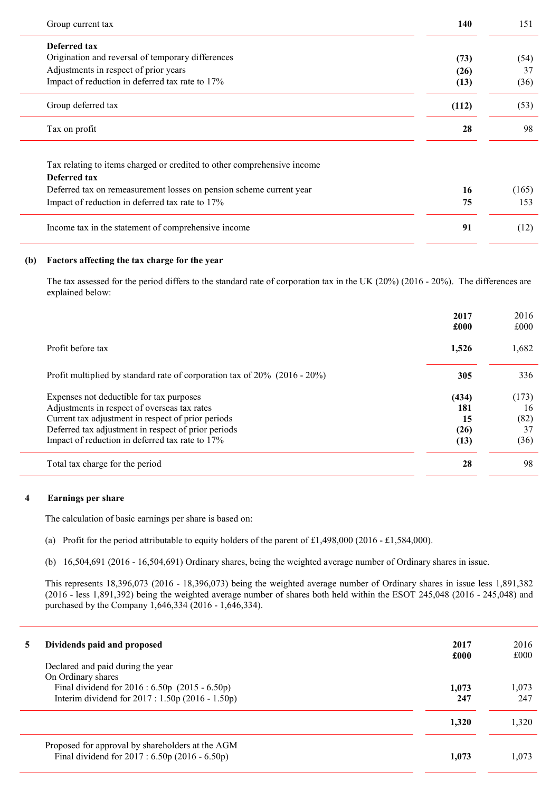| Group current tax                                                                       | 140   | 151   |
|-----------------------------------------------------------------------------------------|-------|-------|
| Deferred tax                                                                            |       |       |
| Origination and reversal of temporary differences                                       | (73)  | (54)  |
| Adjustments in respect of prior years                                                   | (26)  | 37    |
| Impact of reduction in deferred tax rate to 17%                                         | (13)  | (36)  |
| Group deferred tax                                                                      | (112) | (53)  |
| Tax on profit                                                                           | 28    | 98    |
| Tax relating to items charged or credited to other comprehensive income<br>Deferred tax |       |       |
| Deferred tax on remeasurement losses on pension scheme current year                     | 16    | (165) |
| Impact of reduction in deferred tax rate to 17%                                         | 75    | 153   |
| Income tax in the statement of comprehensive income                                     | 91    | (12)  |

## (b) Factors affecting the tax charge for the year

The tax assessed for the period differs to the standard rate of corporation tax in the UK (20%) (2016 - 20%). The differences are explained below:

|                                                                              | 2017<br>£000 | 2016<br>£000 |
|------------------------------------------------------------------------------|--------------|--------------|
| Profit before tax                                                            | 1,526        | 1,682        |
| Profit multiplied by standard rate of corporation tax of $20\%$ (2016 - 20%) | 305          | 336          |
| Expenses not deductible for tax purposes                                     | (434)        | (173)        |
| Adjustments in respect of overseas tax rates                                 | 181          | 16           |
| Current tax adjustment in respect of prior periods                           | 15           | (82)         |
| Deferred tax adjustment in respect of prior periods                          | (26)         | 37           |
| Impact of reduction in deferred tax rate to 17%                              | (13)         | (36)         |
| Total tax charge for the period                                              | 28           | 98           |

## 4 Earnings per share

The calculation of basic earnings per share is based on:

- (a) Profit for the period attributable to equity holders of the parent of £1,498,000 (2016 £1,584,000).
- (b) 16,504,691 (2016 16,504,691) Ordinary shares, being the weighted average number of Ordinary shares in issue.

This represents 18,396,073 (2016 - 18,396,073) being the weighted average number of Ordinary shares in issue less 1,891,382 (2016 - less 1,891,392) being the weighted average number of shares both held within the ESOT 245,048 (2016 - 245,048) and purchased by the Company 1,646,334 (2016 - 1,646,334).

| 5 | Dividends paid and proposed<br>Declared and paid during the year                                                            | 2017<br>£000 | 2016<br>£000 |
|---|-----------------------------------------------------------------------------------------------------------------------------|--------------|--------------|
|   | On Ordinary shares<br>Final dividend for $2016 : 6.50p$ (2015 - 6.50p)<br>Interim dividend for $2017 : 1.50p(2016 - 1.50p)$ | 1.073<br>247 | 1.073<br>247 |
|   |                                                                                                                             | 1,320        | 1.320        |
|   | Proposed for approval by shareholders at the AGM<br>Final dividend for $2017 : 6.50p(2016 - 6.50p)$                         | 1.073        | 1.073        |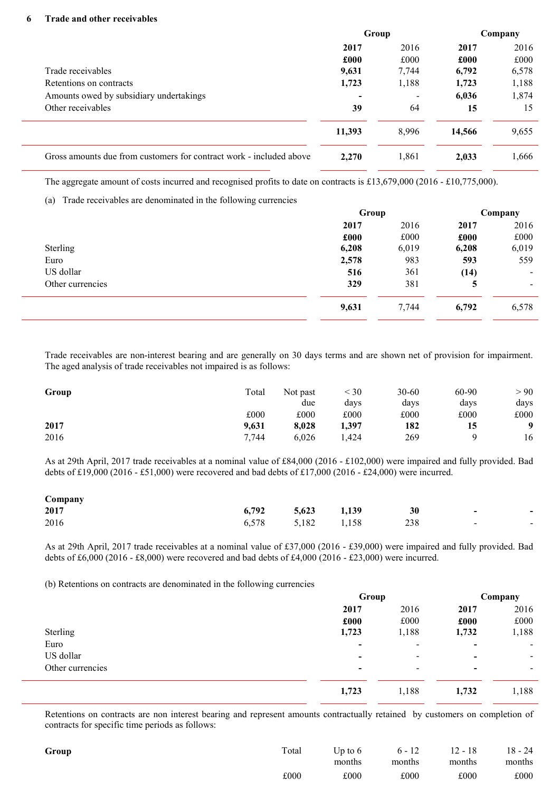#### 6 Trade and other receivables

|                                                                     | Group  |       | Company |       |
|---------------------------------------------------------------------|--------|-------|---------|-------|
|                                                                     | 2017   | 2016  | 2017    | 2016  |
|                                                                     | £000   | £000  | £000    | £000  |
| Trade receivables                                                   | 9,631  | 7,744 | 6,792   | 6,578 |
| Retentions on contracts                                             | 1,723  | 1,188 | 1,723   | 1,188 |
| Amounts owed by subsidiary undertakings                             |        |       | 6,036   | 1,874 |
| Other receivables                                                   | 39     | 64    | 15      | 15    |
|                                                                     | 11,393 | 8,996 | 14,566  | 9,655 |
| Gross amounts due from customers for contract work - included above | 2,270  | 1,861 | 2,033   | 1,666 |

The aggregate amount of costs incurred and recognised profits to date on contracts is £13,679,000 (2016 - £10,775,000).

(a) Trade receivables are denominated in the following currencies

| Group |       |       | Company |
|-------|-------|-------|---------|
| 2017  | 2016  | 2017  | 2016    |
| £000  | £000  | £000  | £000    |
| 6,208 | 6,019 | 6,208 | 6,019   |
| 2,578 | 983   | 593   | 559     |
| 516   | 361   | (14)  | ۰.      |
| 329   | 381   | 5     | ۰.      |
| 9,631 | 7,744 | 6,792 | 6,578   |
|       |       |       |         |

Trade receivables are non-interest bearing and are generally on 30 days terms and are shown net of provision for impairment. The aged analysis of trade receivables not impaired is as follows:

| Group | Total | Not past<br>due | $<$ 30<br>days | $30 - 60$<br>days | 60-90<br>days | > 90<br>days |
|-------|-------|-----------------|----------------|-------------------|---------------|--------------|
|       | £000  | £000            | £000           | £000              | £000          | £000         |
| 2017  | 9,631 | 8.028           | 1,397          | 182               | 15            | $\mathbf{o}$ |
| 2016  | 7,744 | 6.026           | .424           | 269               |               | 16           |

As at 29th April, 2017 trade receivables at a nominal value of £84,000 (2016 - £102,000) were impaired and fully provided. Bad debts of £19,000 (2016 - £51,000) were recovered and bad debts of £17,000 (2016 - £24,000) were incurred.

| Company |                   |  |     |        |                          |
|---------|-------------------|--|-----|--------|--------------------------|
| 2017    | 6,792 5,623 1,139 |  | 30  | $\sim$ | $\,$                     |
| 2016    | 6,578 5,182 1,158 |  | 238 | $\sim$ | $\overline{\phantom{a}}$ |

As at 29th April, 2017 trade receivables at a nominal value of £37,000 (2016 - £39,000) were impaired and fully provided. Bad debts of £6,000 (2016 - £8,000) were recovered and bad debts of £4,000 (2016 - £23,000) were incurred.

(b) Retentions on contracts are denominated in the following currencies

|                  | Group                    |                          | Company        |       |
|------------------|--------------------------|--------------------------|----------------|-------|
|                  | 2017                     | 2016                     | 2017           | 2016  |
|                  | £000                     | £000                     | £000           | £000  |
| Sterling         | 1,723                    | 1,188                    | 1,732          | 1,188 |
| Euro             | ٠                        | $\overline{\phantom{0}}$ | $\blacksquare$ | ۰.    |
| US dollar        | $\overline{\phantom{0}}$ | -                        | $\blacksquare$ | -     |
| Other currencies | $\,$                     | $\overline{\phantom{0}}$ | $\,$           | -     |
|                  | 1,723                    | 1,188                    | 1,732          | 1,188 |

Retentions on contracts are non interest bearing and represent amounts contractually retained by customers on completion of contracts for specific time periods as follows:

| Group | Total | months | Up to 6 $6 - 12$ 12 - 18<br>months | months | $18 - 24$<br>months |
|-------|-------|--------|------------------------------------|--------|---------------------|
|       | £000  | £000   | £000                               | £000   | £000                |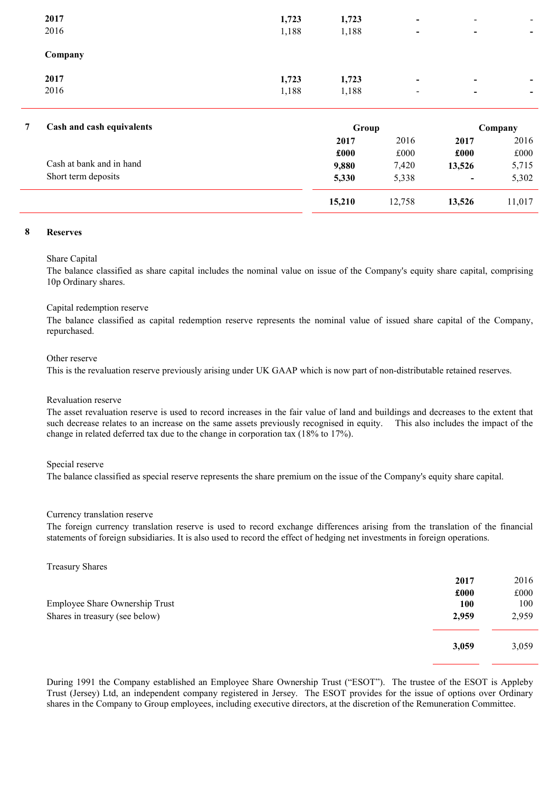| 1,188 | $\blacksquare$ | $\blacksquare$           | $\blacksquare$           |
|-------|----------------|--------------------------|--------------------------|
|       |                |                          |                          |
|       | $\,$           | $\blacksquare$           | $\,$                     |
|       |                |                          |                          |
| 1,188 | $\,$           | $\blacksquare$           | $\overline{\phantom{a}}$ |
| 1,723 | $\,$           | $\overline{\phantom{a}}$ | $\qquad \qquad$          |
|       | 1,723          |                          |                          |

| Cash and cash equivalents | Group  |        |                          | Company |
|---------------------------|--------|--------|--------------------------|---------|
|                           | 2017   | 2016   | 2017                     | 2016    |
|                           | £000   | £000   | £000                     | £000    |
| Cash at bank and in hand  | 9,880  | 7,420  | 13,526                   | 5,715   |
| Short term deposits       | 5,330  | 5,338  | $\overline{\phantom{0}}$ | 5,302   |
|                           | 15,210 | 12,758 | 13,526                   | 11,017  |

#### 8 Reserves

#### Share Capital

The balance classified as share capital includes the nominal value on issue of the Company's equity share capital, comprising 10p Ordinary shares.

#### Capital redemption reserve

The balance classified as capital redemption reserve represents the nominal value of issued share capital of the Company, repurchased.

#### Other reserve

This is the revaluation reserve previously arising under UK GAAP which is now part of non-distributable retained reserves.

#### Revaluation reserve

The asset revaluation reserve is used to record increases in the fair value of land and buildings and decreases to the extent that such decrease relates to an increase on the same assets previously recognised in equity. This also includes the impact of the change in related deferred tax due to the change in corporation tax (18% to 17%).

#### Special reserve

The balance classified as special reserve represents the share premium on the issue of the Company's equity share capital.

#### Currency translation reserve

The foreign currency translation reserve is used to record exchange differences arising from the translation of the financial statements of foreign subsidiaries. It is also used to record the effect of hedging net investments in foreign operations.

Treasury Shares

|                                | 2017  | 2016  |
|--------------------------------|-------|-------|
|                                | £000  | £000  |
| Employee Share Ownership Trust | 100   | 100   |
| Shares in treasury (see below) | 2,959 | 2,959 |
|                                | 3,059 | 3,059 |

During 1991 the Company established an Employee Share Ownership Trust ("ESOT"). The trustee of the ESOT is Appleby Trust (Jersey) Ltd, an independent company registered in Jersey. The ESOT provides for the issue of options over Ordinary shares in the Company to Group employees, including executive directors, at the discretion of the Remuneration Committee.